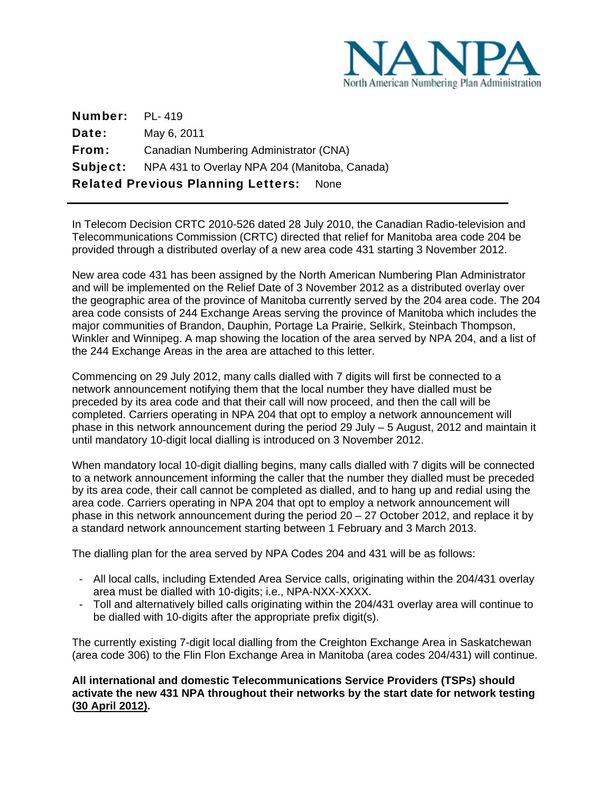

| <b>Number:</b> PL-419 |                                                               |
|-----------------------|---------------------------------------------------------------|
| Date:                 | May 6, 2011                                                   |
| From:                 | Canadian Numbering Administrator (CNA)                        |
|                       | <b>Subject:</b> NPA 431 to Overlay NPA 204 (Manitoba, Canada) |
|                       | <b>Related Previous Planning Letters: None</b>                |

 $\overline{\phantom{0}}$ 

In Telecom Decision CRTC 2010-526 dated 28 July 2010, the Canadian Radio-television and Telecommunications Commission (CRTC) directed that relief for Manitoba area code 204 be provided through a distributed overlay of a new area code 431 starting 3 November 2012.

New area code 431 has been assigned by the North American Numbering Plan Administrator and will be implemented on the Relief Date of 3 November 2012 as a distributed overlay over the geographic area of the province of Manitoba currently served by the 204 area code. The 204 area code consists of 244 Exchange Areas serving the province of Manitoba which includes the major communities of Brandon, Dauphin, Portage La Prairie, Selkirk, Steinbach Thompson, Winkler and Winnipeg. A map showing the location of the area served by NPA 204, and a list of the 244 Exchange Areas in the area are attached to this letter.

Commencing on 29 July 2012, many calls dialled with 7 digits will first be connected to a network announcement notifying them that the local number they have dialled must be preceded by its area code and that their call will now proceed, and then the call will be completed. Carriers operating in NPA 204 that opt to employ a network announcement will phase in this network announcement during the period 29 July – 5 August, 2012 and maintain it until mandatory 10-digit local dialling is introduced on 3 November 2012.

When mandatory local 10-digit dialling begins, many calls dialled with 7 digits will be connected to a network announcement informing the caller that the number they dialled must be preceded by its area code, their call cannot be completed as dialled, and to hang up and redial using the area code. Carriers operating in NPA 204 that opt to employ a network announcement will phase in this network announcement during the period 20 – 27 October 2012, and replace it by a standard network announcement starting between 1 February and 3 March 2013.

The dialling plan for the area served by NPA Codes 204 and 431 will be as follows:

- All local calls, including Extended Area Service calls, originating within the 204/431 overlay area must be dialled with 10-digits; i.e., NPA-NXX-XXXX.
- Toll and alternatively billed calls originating within the 204/431 overlay area will continue to be dialled with 10-digits after the appropriate prefix digit(s).

The currently existing 7-digit local dialling from the Creighton Exchange Area in Saskatchewan (area code 306) to the Flin Flon Exchange Area in Manitoba (area codes 204/431) will continue.

**All international and domestic Telecommunications Service Providers (TSPs) should activate the new 431 NPA throughout their networks by the start date for network testing (30 April 2012).**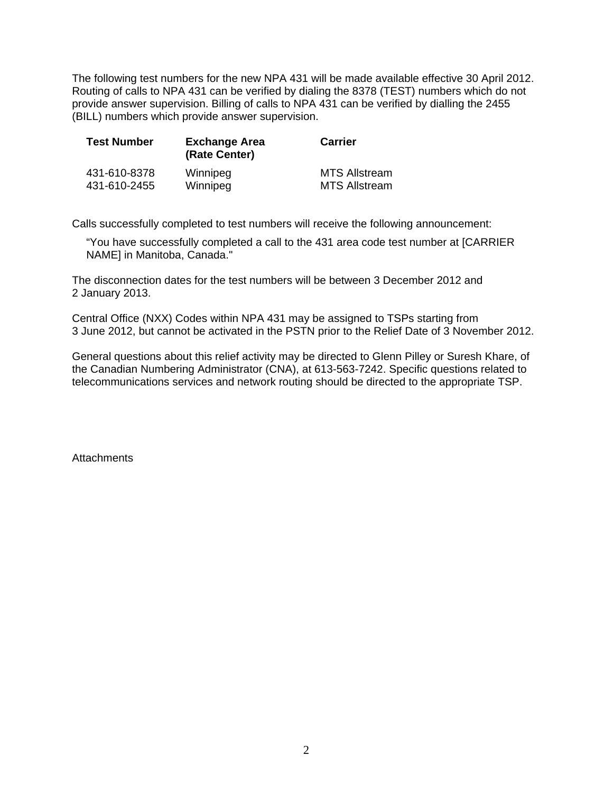The following test numbers for the new NPA 431 will be made available effective 30 April 2012. Routing of calls to NPA 431 can be verified by dialing the 8378 (TEST) numbers which do not provide answer supervision. Billing of calls to NPA 431 can be verified by dialling the 2455 (BILL) numbers which provide answer supervision.

| <b>Test Number</b> | <b>Exchange Area</b><br>(Rate Center) | <b>Carrier</b>       |
|--------------------|---------------------------------------|----------------------|
| 431-610-8378       | Winnipeg                              | <b>MTS Allstream</b> |
| 431-610-2455       | Winnipeg                              | <b>MTS Allstream</b> |

Calls successfully completed to test numbers will receive the following announcement:

"You have successfully completed a call to the 431 area code test number at [CARRIER NAME] in Manitoba, Canada."

The disconnection dates for the test numbers will be between 3 December 2012 and 2 January 2013.

Central Office (NXX) Codes within NPA 431 may be assigned to TSPs starting from 3 June 2012, but cannot be activated in the PSTN prior to the Relief Date of 3 November 2012.

General questions about this relief activity may be directed to Glenn Pilley or Suresh Khare, of the Canadian Numbering Administrator (CNA), at 613-563-7242. Specific questions related to telecommunications services and network routing should be directed to the appropriate TSP.

**Attachments**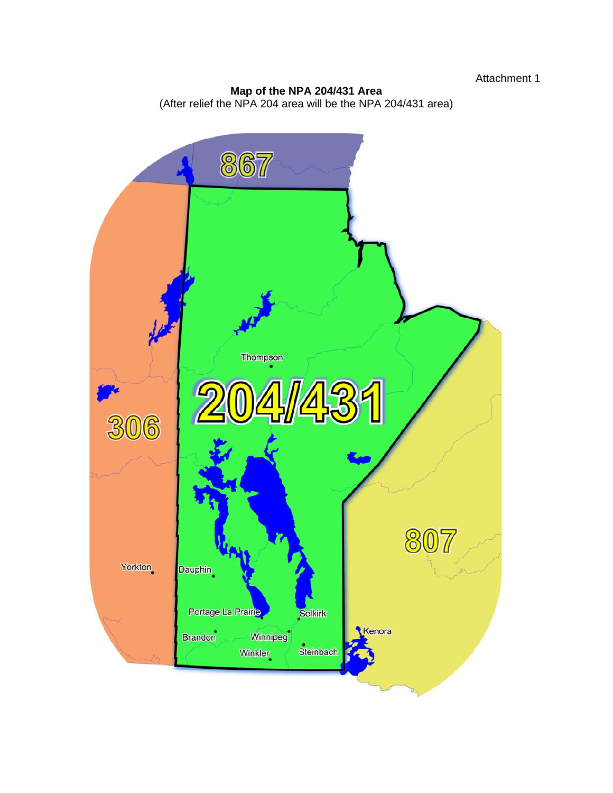## **Map of the NPA 204/431 Area**  (After relief the NPA 204 area will be the NPA 204/431 area)

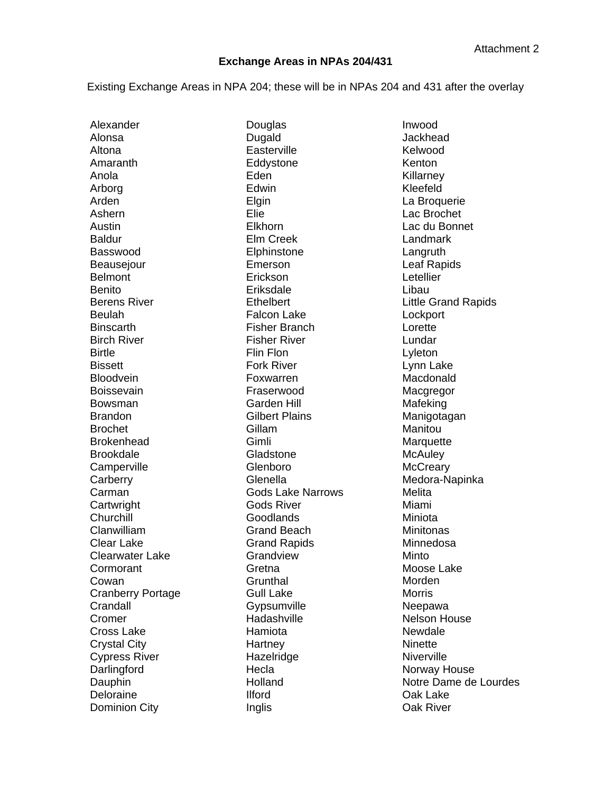## **Exchange Areas in NPAs 204/431**

Existing Exchange Areas in NPA 204; these will be in NPAs 204 and 431 after the overlay

Alexander Alonsa Altona Amaranth Anola Arborg Arden Ashern Austin Baldur Basswood **Beauseiour** Belmont Benito Berens River Beulah **Binscarth** Birch River **Birtle Bissett Bloodvein** Boissevain Bowsman Brandon Brochet Brokenhead Brookdale **Camperville Carberry** Carman **Cartwright Churchill** Clanwilliam Clear Lake Clearwater Lake **Cormorant** Cowan Cranberry Portage **Crandall** Cromer Cross Lake Crystal City Cypress River **Darlingford** Dauphin Deloraine Dominion City

Douglas Dugald **Easterville** Eddystone Eden **Edwin** Elgin Elie Elkhorn Elm Creek **Elphinstone** Emerson **Erickson** Eriksdale **Ethelbert** Falcon Lake Fisher Branch Fisher River Flin Flon Fork River Foxwarren Fraserwood Garden Hill Gilbert Plains Gillam Gimli Gladstone Glenboro Glenella Gods Lake Narrows Gods River Goodlands Grand Beach Grand Rapids Grandview **Gretna Grunthal** Gull Lake **Gypsumville** Hadashville Hamiota **Hartney** Hazelridge **Hecla** Holland Ilford Inglis

Inwood Jackhead Kelwood Kenton Killarney Kleefeld La Broquerie Lac Brochet Lac du Bonnet Landmark Langruth Leaf Rapids Letellier Libau Little Grand Rapids **Lockport** Lorette Lundar Lyleton Lynn Lake Macdonald Macgregor Mafeking Manigotagan Manitou **Marquette McAuley McCreary** Medora-Napinka **Melita** Miami Miniota **Minitonas** Minnedosa Minto Moose Lake Morden Morris Neepawa Nelson House Newdale **Ninette Niverville** Norway House Notre Dame de Lourdes Oak Lake Oak River